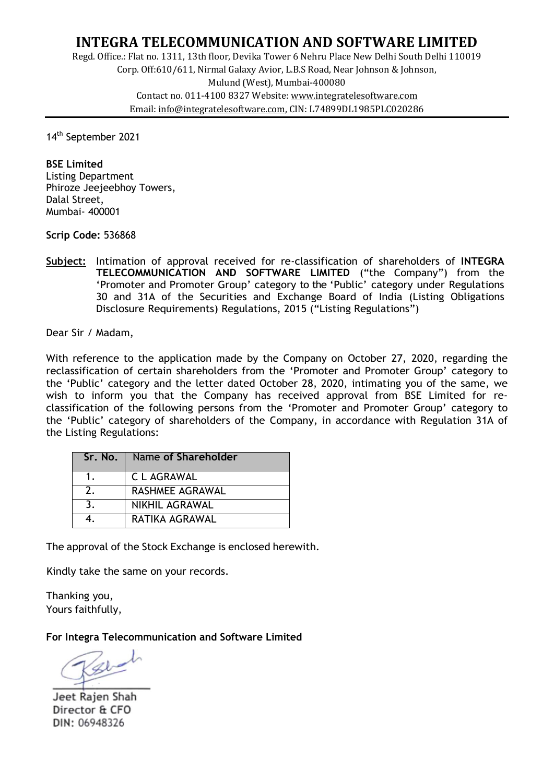# **INTEGRA TELECOMMUNICATION AND SOFTWARE LIMITED**

Regd. Office.: Flat no. 1311, 13th floor, Devika Tower 6 Nehru Place New Delhi South Delhi 110019 Corp. Off:610/611, Nirmal Galaxy Avior, L.B.S Road, Near Johnson & Johnson, Mulund (West), Mumbai-400080 Contact no. 011-4100 8327 Website: www.integratelesoftware.com Email: info@integratelesoftware.com, CIN: L74899DL1985PLC020286

14th September 2021

**BSE Limited**  Listing Department Phiroze Jeejeebhoy Towers, Dalal Street, Mumbai- 400001

**Scrip Code:** 536868

**Subject:** Intimation of approval received for re-classification of shareholders of **INTEGRA TELECOMMUNICATION AND SOFTWARE LIMITED** ("the Company") from the 'Promoter and Promoter Group' category to the 'Public' category under Regulations 30 and 31A of the Securities and Exchange Board of India (Listing Obligations Disclosure Requirements) Regulations, 2015 ("Listing Regulations")

Dear Sir / Madam,

With reference to the application made by the Company on October 27, 2020, regarding the reclassification of certain shareholders from the 'Promoter and Promoter Group' category to the 'Public' category and the letter dated October 28, 2020, intimating you of the same, we wish to inform you that the Company has received approval from BSE Limited for reclassification of the following persons from the 'Promoter and Promoter Group' category to the 'Public' category of shareholders of the Company, in accordance with Regulation 31A of the Listing Regulations:

| Sr. No.        | Name of Shareholder   |  |
|----------------|-----------------------|--|
|                | C L AGRAWAL           |  |
| 2.             | RASHMEE AGRAWAL       |  |
| 3 <sub>1</sub> | <b>NIKHIL AGRAWAL</b> |  |
|                | RATIKA AGRAWAL        |  |

The approval of the Stock Exchange is enclosed herewith.

Kindly take the same on your records.

Thanking you, Yours faithfully,

**For Integra Telecommunication and Software Limited** 

Jeet Rajen Shah Director & CFO DIN: 06948326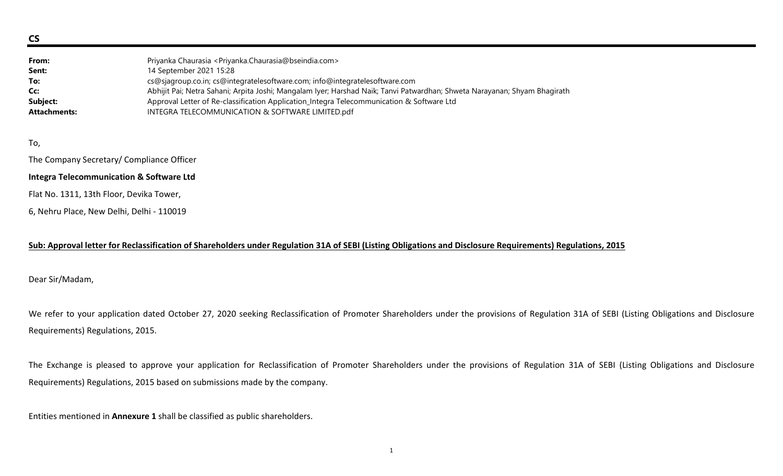CS

| From:               | Priyanka Chaurasia < Priyanka.Chaurasia@bseindia.com >                                                                    |
|---------------------|---------------------------------------------------------------------------------------------------------------------------|
| Sent:               | 14 September 2021 15:28                                                                                                   |
| To:                 | cs@sjagroup.co.in; cs@integratelesoftware.com; info@integratelesoftware.com                                               |
| Cc:                 | Abhijit Pai; Netra Sahani; Arpita Joshi; Mangalam Iyer; Harshad Naik; Tanvi Patwardhan; Shweta Narayanan; Shyam Bhagirath |
| Subject:            | Approval Letter of Re-classification Application_Integra Telecommunication & Software Ltd                                 |
| <b>Attachments:</b> | INTEGRA TELECOMMUNICATION & SOFTWARE LIMITED.pdf                                                                          |

To,

The Company Secretary/ Compliance Officer

### Integra Telecommunication & Software Ltd

Flat No. 1311, 13th Floor, Devika Tower,

6, Nehru Place, New Delhi, Delhi - 110019

# Sub: Approval letter for Reclassification of Shareholders under Regulation 31A of SEBI (Listing Obligations and Disclosure Requirements) Regulations, 2015

Dear Sir/Madam,

We refer to your application dated October 27, 2020 seeking Reclassification of Promoter Shareholders under the provisions of Regulation 31A of SEBI (Listing Obligations and Disclosure Requirements) Regulations, 2015.

The Exchange is pleased to approve your application for Reclassification of Promoter Shareholders under the provisions of Regulation 31A of SEBI (Listing Obligations and Disclosure Requirements) Regulations, 2015 based on submissions made by the company.

Entities mentioned in Annexure 1 shall be classified as public shareholders.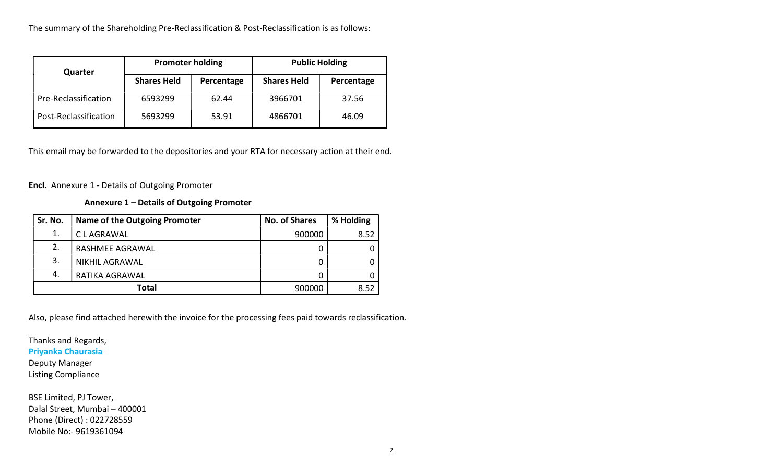The summary of the Shareholding Pre-Reclassification & Post-Reclassification is as follows:

| Quarter               | <b>Promoter holding</b> |            | <b>Public Holding</b> |            |
|-----------------------|-------------------------|------------|-----------------------|------------|
|                       | <b>Shares Held</b>      | Percentage | <b>Shares Held</b>    | Percentage |
| Pre-Reclassification  | 6593299                 | 62.44      | 3966701               | 37.56      |
| Post-Reclassification | 5693299                 | 53.91      | 4866701               | 46.09      |

This email may be forwarded to the depositories and your RTA for necessary action at their end.

**Encl.** Annexure 1 - Details of Outgoing Promoter

# Annexure 1 – Details of Outgoing Promoter

| Sr. No.      | <b>Name of the Outgoing Promoter</b> | <b>No. of Shares</b> | % Holding |
|--------------|--------------------------------------|----------------------|-----------|
| 1.           | C L AGRAWAL                          | 900000               | 8.52      |
| 2.           | RASHMEE AGRAWAL                      |                      |           |
| 3.           | <b>NIKHIL AGRAWAL</b>                |                      |           |
| 4.           | RATIKA AGRAWAL                       |                      |           |
| <b>Total</b> |                                      | 900000               | 8.52      |

Also, please find attached herewith the invoice for the processing fees paid towards reclassification.

Thanks and Regards, Priyanka Chaurasia Deputy Manager Listing Compliance

BSE Limited, PJ Tower, Dalal Street, Mumbai – 400001 Phone (Direct) : 022728559 Mobile No:- 9619361094